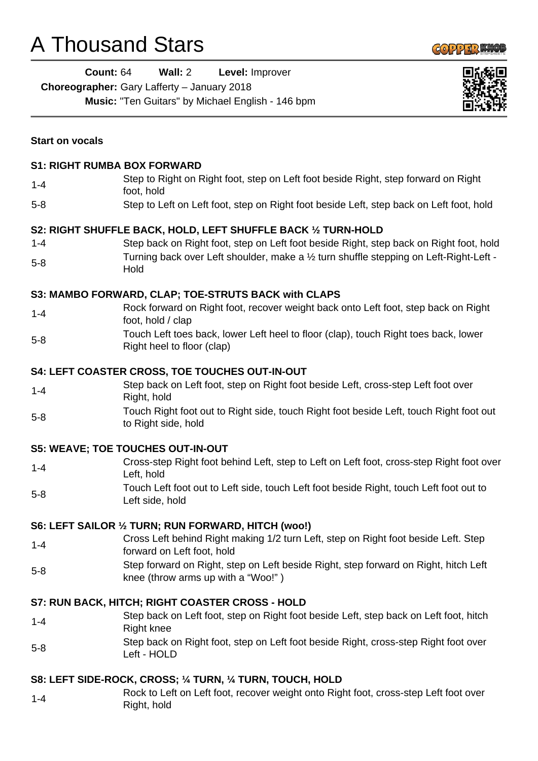## A Thousand Stars

l.



|                        | <b>Count: 64</b><br>Wall: 2<br>Level: Improver<br>Choreographer: Gary Lafferty - January 2018<br>Music: "Ten Guitars" by Michael English - 146 bpm |  |  |
|------------------------|----------------------------------------------------------------------------------------------------------------------------------------------------|--|--|
| <b>Start on vocals</b> |                                                                                                                                                    |  |  |
|                        | <b>S1: RIGHT RUMBA BOX FORWARD</b>                                                                                                                 |  |  |
| $1 - 4$                | Step to Right on Right foot, step on Left foot beside Right, step forward on Right<br>foot, hold                                                   |  |  |
| $5 - 8$                | Step to Left on Left foot, step on Right foot beside Left, step back on Left foot, hold                                                            |  |  |
|                        | S2: RIGHT SHUFFLE BACK, HOLD, LEFT SHUFFLE BACK 1/2 TURN-HOLD                                                                                      |  |  |
| $1 - 4$                | Step back on Right foot, step on Left foot beside Right, step back on Right foot, hold                                                             |  |  |
| $5 - 8$                | Turning back over Left shoulder, make a 1/2 turn shuffle stepping on Left-Right-Left -<br>Hold                                                     |  |  |
|                        | S3: MAMBO FORWARD, CLAP; TOE-STRUTS BACK with CLAPS                                                                                                |  |  |
| $1 - 4$                | Rock forward on Right foot, recover weight back onto Left foot, step back on Right<br>foot, hold / clap                                            |  |  |
| $5 - 8$                | Touch Left toes back, lower Left heel to floor (clap), touch Right toes back, lower<br>Right heel to floor (clap)                                  |  |  |
|                        | <b>S4: LEFT COASTER CROSS, TOE TOUCHES OUT-IN-OUT</b>                                                                                              |  |  |
| $1 - 4$                | Step back on Left foot, step on Right foot beside Left, cross-step Left foot over<br>Right, hold                                                   |  |  |
| $5 - 8$                | Touch Right foot out to Right side, touch Right foot beside Left, touch Right foot out<br>to Right side, hold                                      |  |  |
|                        | <b>S5: WEAVE; TOE TOUCHES OUT-IN-OUT</b>                                                                                                           |  |  |
| $1 - 4$                | Cross-step Right foot behind Left, step to Left on Left foot, cross-step Right foot over<br>Left, hold                                             |  |  |
| $5 - 8$                | Touch Left foot out to Left side, touch Left foot beside Right, touch Left foot out to<br>Left side, hold                                          |  |  |
|                        | <b>S6: LEFT SAILOR 1/2 TURN; RUN FORWARD, HITCH (woo!)</b>                                                                                         |  |  |
| $1 - 4$                | Cross Left behind Right making 1/2 turn Left, step on Right foot beside Left. Step<br>forward on Left foot, hold                                   |  |  |
| $5 - 8$                | Step forward on Right, step on Left beside Right, step forward on Right, hitch Left<br>knee (throw arms up with a "Woo!")                          |  |  |
|                        | S7: RUN BACK, HITCH; RIGHT COASTER CROSS - HOLD                                                                                                    |  |  |
| $1 - 4$                | Step back on Left foot, step on Right foot beside Left, step back on Left foot, hitch<br><b>Right knee</b>                                         |  |  |
| $5 - 8$                | Step back on Right foot, step on Left foot beside Right, cross-step Right foot over<br>Left - HOLD                                                 |  |  |
|                        | S8: LEFT SIDE-ROCK, CROSS; ¼ TURN, ¼ TURN, TOUCH, HOLD                                                                                             |  |  |
| $1 - 4$                | Rock to Left on Left foot, recover weight onto Right foot, cross-step Left foot over                                                               |  |  |

Right, hold